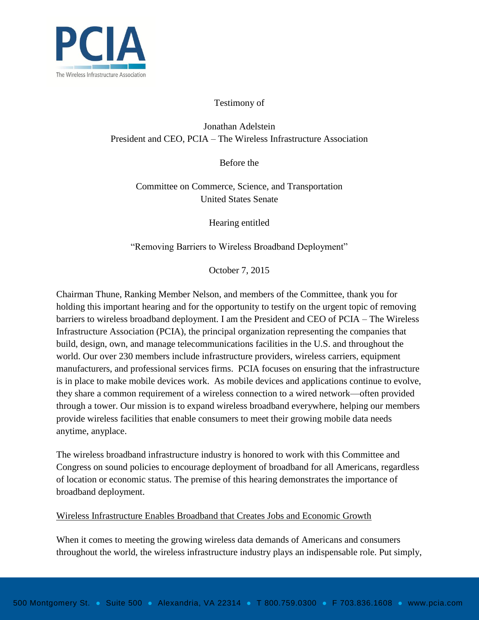

#### Testimony of

# Jonathan Adelstein President and CEO, PCIA – The Wireless Infrastructure Association

Before the

Committee on Commerce, Science, and Transportation United States Senate

Hearing entitled

"Removing Barriers to Wireless Broadband Deployment"

October 7, 2015

Chairman Thune, Ranking Member Nelson, and members of the Committee, thank you for holding this important hearing and for the opportunity to testify on the urgent topic of removing barriers to wireless broadband deployment. I am the President and CEO of PCIA – The Wireless Infrastructure Association (PCIA), the principal organization representing the companies that build, design, own, and manage telecommunications facilities in the U.S. and throughout the world. Our over 230 members include infrastructure providers, wireless carriers, equipment manufacturers, and professional services firms. PCIA focuses on ensuring that the infrastructure is in place to make mobile devices work. As mobile devices and applications continue to evolve, they share a common requirement of a wireless connection to a wired network—often provided through a tower. Our mission is to expand wireless broadband everywhere, helping our members provide wireless facilities that enable consumers to meet their growing mobile data needs anytime, anyplace.

The wireless broadband infrastructure industry is honored to work with this Committee and Congress on sound policies to encourage deployment of broadband for all Americans, regardless of location or economic status. The premise of this hearing demonstrates the importance of broadband deployment.

#### Wireless Infrastructure Enables Broadband that Creates Jobs and Economic Growth

When it comes to meeting the growing wireless data demands of Americans and consumers throughout the world, the wireless infrastructure industry plays an indispensable role. Put simply,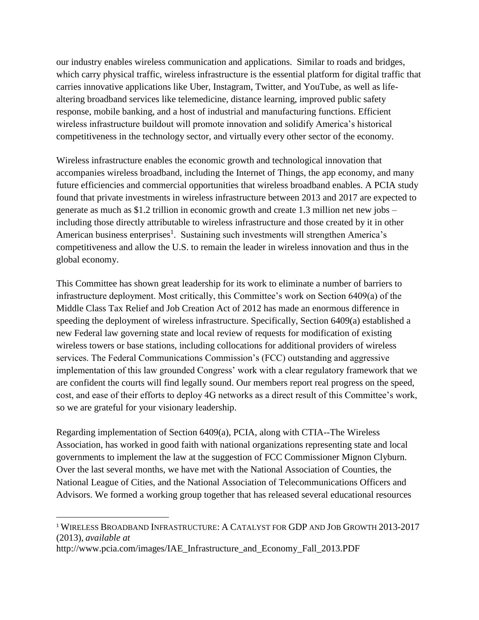our industry enables wireless communication and applications. Similar to roads and bridges, which carry physical traffic, wireless infrastructure is the essential platform for digital traffic that carries innovative applications like Uber, Instagram, Twitter, and YouTube, as well as lifealtering broadband services like telemedicine, distance learning, improved public safety response, mobile banking, and a host of industrial and manufacturing functions. Efficient wireless infrastructure buildout will promote innovation and solidify America's historical competitiveness in the technology sector, and virtually every other sector of the economy.

Wireless infrastructure enables the economic growth and technological innovation that accompanies wireless broadband, including the Internet of Things, the app economy, and many future efficiencies and commercial opportunities that wireless broadband enables. A PCIA study found that private investments in wireless infrastructure between 2013 and 2017 are expected to generate as much as \$1.2 trillion in economic growth and create 1.3 million net new jobs – including those directly attributable to wireless infrastructure and those created by it in other American business enterprises<sup>1</sup>. Sustaining such investments will strengthen America's competitiveness and allow the U.S. to remain the leader in wireless innovation and thus in the global economy.

This Committee has shown great leadership for its work to eliminate a number of barriers to infrastructure deployment. Most critically, this Committee's work on Section 6409(a) of the Middle Class Tax Relief and Job Creation Act of 2012 has made an enormous difference in speeding the deployment of wireless infrastructure. Specifically, Section 6409(a) established a new Federal law governing state and local review of requests for modification of existing wireless towers or base stations, including collocations for additional providers of wireless services. The Federal Communications Commission's (FCC) outstanding and aggressive implementation of this law grounded Congress' work with a clear regulatory framework that we are confident the courts will find legally sound. Our members report real progress on the speed, cost, and ease of their efforts to deploy 4G networks as a direct result of this Committee's work, so we are grateful for your visionary leadership.

Regarding implementation of Section 6409(a), PCIA, along with CTIA--The Wireless Association, has worked in good faith with national organizations representing state and local governments to implement the law at the suggestion of FCC Commissioner Mignon Clyburn. Over the last several months, we have met with the National Association of Counties, the National League of Cities, and the National Association of Telecommunications Officers and Advisors. We formed a working group together that has released several educational resources

<sup>1</sup> WIRELESS BROADBAND INFRASTRUCTURE: A CATALYST FOR GDP AND JOB GROWTH 2013-2017 (2013), *available at* 

http://www.pcia.com/images/IAE\_Infrastructure\_and\_Economy\_Fall\_2013.PDF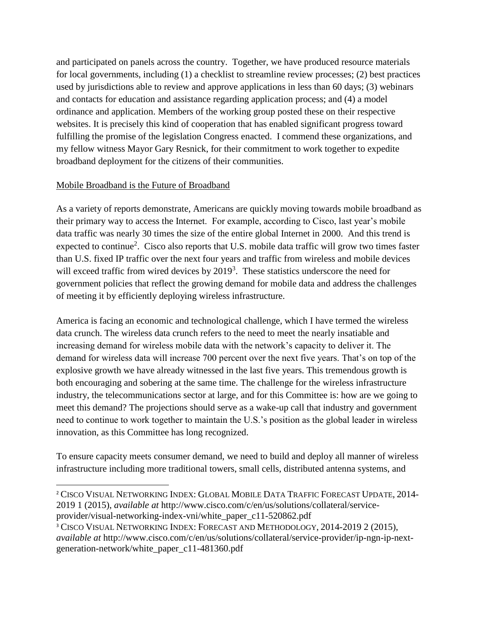and participated on panels across the country. Together, we have produced resource materials for local governments, including (1) a checklist to streamline review processes; (2) best practices used by jurisdictions able to review and approve applications in less than 60 days; (3) webinars and contacts for education and assistance regarding application process; and (4) a model ordinance and application. Members of the working group posted these on their respective websites. It is precisely this kind of cooperation that has enabled significant progress toward fulfilling the promise of the legislation Congress enacted. I commend these organizations, and my fellow witness Mayor Gary Resnick, for their commitment to work together to expedite broadband deployment for the citizens of their communities.

# Mobile Broadband is the Future of Broadband

 $\overline{a}$ 

As a variety of reports demonstrate, Americans are quickly moving towards mobile broadband as their primary way to access the Internet. For example, according to Cisco, last year's mobile data traffic was nearly 30 times the size of the entire global Internet in 2000. And this trend is expected to continue<sup>2</sup>. Cisco also reports that U.S. mobile data traffic will grow two times faster than U.S. fixed IP traffic over the next four years and traffic from wireless and mobile devices will exceed traffic from wired devices by  $2019<sup>3</sup>$ . These statistics underscore the need for government policies that reflect the growing demand for mobile data and address the challenges of meeting it by efficiently deploying wireless infrastructure.

America is facing an economic and technological challenge, which I have termed the wireless data crunch. The wireless data crunch refers to the need to meet the nearly insatiable and increasing demand for wireless mobile data with the network's capacity to deliver it. The demand for wireless data will increase 700 percent over the next five years. That's on top of the explosive growth we have already witnessed in the last five years. This tremendous growth is both encouraging and sobering at the same time. The challenge for the wireless infrastructure industry, the telecommunications sector at large, and for this Committee is: how are we going to meet this demand? The projections should serve as a wake-up call that industry and government need to continue to work together to maintain the U.S.'s position as the global leader in wireless innovation, as this Committee has long recognized.

To ensure capacity meets consumer demand, we need to build and deploy all manner of wireless infrastructure including more traditional towers, small cells, distributed antenna systems, and

<sup>2</sup> CISCO VISUAL NETWORKING INDEX: GLOBAL MOBILE DATA TRAFFIC FORECAST UPDATE, 2014- 2019 1 (2015), *available at* http://www.cisco.com/c/en/us/solutions/collateral/serviceprovider/visual-networking-index-vni/white\_paper\_c11-520862.pdf

<sup>&</sup>lt;sup>3</sup> CISCO VISUAL NETWORKING INDEX: FORECAST AND METHODOLOGY, 2014-2019 2 (2015), *available at* http://www.cisco.com/c/en/us/solutions/collateral/service-provider/ip-ngn-ip-nextgeneration-network/white\_paper\_c11-481360.pdf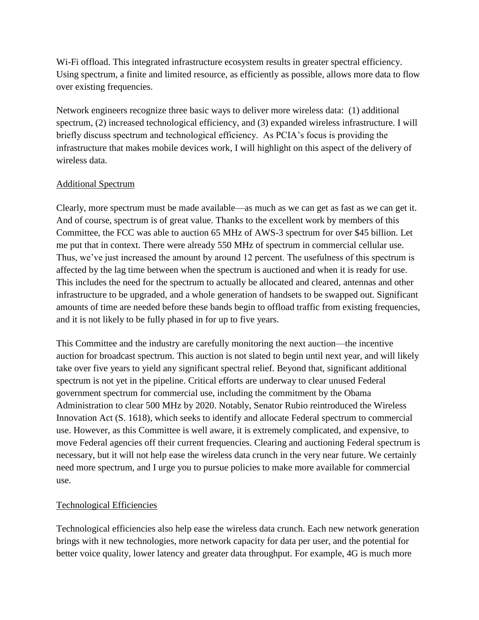Wi-Fi offload. This integrated infrastructure ecosystem results in greater spectral efficiency. Using spectrum, a finite and limited resource, as efficiently as possible, allows more data to flow over existing frequencies.

Network engineers recognize three basic ways to deliver more wireless data: (1) additional spectrum, (2) increased technological efficiency, and (3) expanded wireless infrastructure. I will briefly discuss spectrum and technological efficiency. As PCIA's focus is providing the infrastructure that makes mobile devices work, I will highlight on this aspect of the delivery of wireless data.

# Additional Spectrum

Clearly, more spectrum must be made available—as much as we can get as fast as we can get it. And of course, spectrum is of great value. Thanks to the excellent work by members of this Committee, the FCC was able to auction 65 MHz of AWS-3 spectrum for over \$45 billion. Let me put that in context. There were already 550 MHz of spectrum in commercial cellular use. Thus, we've just increased the amount by around 12 percent. The usefulness of this spectrum is affected by the lag time between when the spectrum is auctioned and when it is ready for use. This includes the need for the spectrum to actually be allocated and cleared, antennas and other infrastructure to be upgraded, and a whole generation of handsets to be swapped out. Significant amounts of time are needed before these bands begin to offload traffic from existing frequencies, and it is not likely to be fully phased in for up to five years.

This Committee and the industry are carefully monitoring the next auction—the incentive auction for broadcast spectrum. This auction is not slated to begin until next year, and will likely take over five years to yield any significant spectral relief. Beyond that, significant additional spectrum is not yet in the pipeline. Critical efforts are underway to clear unused Federal government spectrum for commercial use, including the commitment by the Obama Administration to clear 500 MHz by 2020. Notably, Senator Rubio reintroduced the Wireless Innovation Act (S. 1618), which seeks to identify and allocate Federal spectrum to commercial use. However, as this Committee is well aware, it is extremely complicated, and expensive, to move Federal agencies off their current frequencies. Clearing and auctioning Federal spectrum is necessary, but it will not help ease the wireless data crunch in the very near future. We certainly need more spectrum, and I urge you to pursue policies to make more available for commercial use.

## Technological Efficiencies

Technological efficiencies also help ease the wireless data crunch. Each new network generation brings with it new technologies, more network capacity for data per user, and the potential for better voice quality, lower latency and greater data throughput. For example, 4G is much more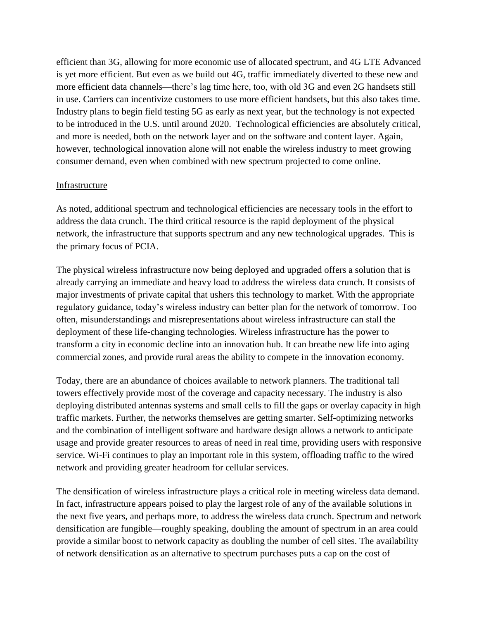efficient than 3G, allowing for more economic use of allocated spectrum, and 4G LTE Advanced is yet more efficient. But even as we build out 4G, traffic immediately diverted to these new and more efficient data channels—there's lag time here, too, with old 3G and even 2G handsets still in use. Carriers can incentivize customers to use more efficient handsets, but this also takes time. Industry plans to begin field testing 5G as early as next year, but the technology is not expected to be introduced in the U.S. until around 2020. Technological efficiencies are absolutely critical, and more is needed, both on the network layer and on the software and content layer. Again, however, technological innovation alone will not enable the wireless industry to meet growing consumer demand, even when combined with new spectrum projected to come online.

#### Infrastructure

As noted, additional spectrum and technological efficiencies are necessary tools in the effort to address the data crunch. The third critical resource is the rapid deployment of the physical network, the infrastructure that supports spectrum and any new technological upgrades. This is the primary focus of PCIA.

The physical wireless infrastructure now being deployed and upgraded offers a solution that is already carrying an immediate and heavy load to address the wireless data crunch. It consists of major investments of private capital that ushers this technology to market. With the appropriate regulatory guidance, today's wireless industry can better plan for the network of tomorrow. Too often, misunderstandings and misrepresentations about wireless infrastructure can stall the deployment of these life-changing technologies. Wireless infrastructure has the power to transform a city in economic decline into an innovation hub. It can breathe new life into aging commercial zones, and provide rural areas the ability to compete in the innovation economy.

Today, there are an abundance of choices available to network planners. The traditional tall towers effectively provide most of the coverage and capacity necessary. The industry is also deploying distributed antennas systems and small cells to fill the gaps or overlay capacity in high traffic markets. Further, the networks themselves are getting smarter. Self-optimizing networks and the combination of intelligent software and hardware design allows a network to anticipate usage and provide greater resources to areas of need in real time, providing users with responsive service. Wi-Fi continues to play an important role in this system, offloading traffic to the wired network and providing greater headroom for cellular services.

The densification of wireless infrastructure plays a critical role in meeting wireless data demand. In fact, infrastructure appears poised to play the largest role of any of the available solutions in the next five years, and perhaps more, to address the wireless data crunch. Spectrum and network densification are fungible—roughly speaking, doubling the amount of spectrum in an area could provide a similar boost to network capacity as doubling the number of cell sites. The availability of network densification as an alternative to spectrum purchases puts a cap on the cost of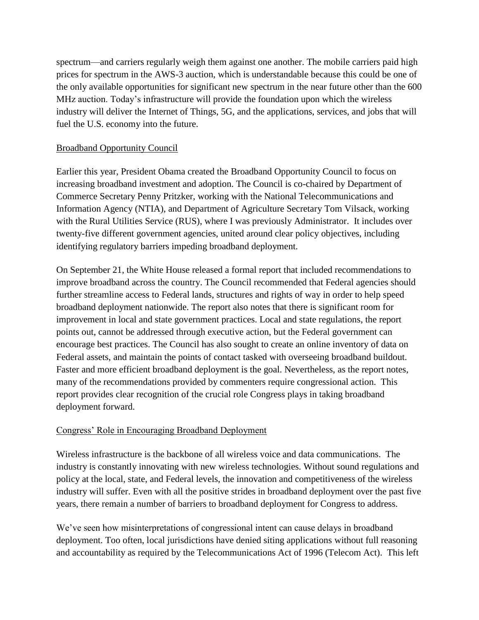spectrum—and carriers regularly weigh them against one another. The mobile carriers paid high prices for spectrum in the AWS-3 auction, which is understandable because this could be one of the only available opportunities for significant new spectrum in the near future other than the 600 MHz auction. Today's infrastructure will provide the foundation upon which the wireless industry will deliver the Internet of Things, 5G, and the applications, services, and jobs that will fuel the U.S. economy into the future.

## Broadband Opportunity Council

Earlier this year, President Obama created the Broadband Opportunity Council to focus on increasing broadband investment and adoption. The Council is co-chaired by Department of Commerce Secretary Penny Pritzker, working with the National Telecommunications and Information Agency (NTIA), and Department of Agriculture Secretary Tom Vilsack, working with the Rural Utilities Service (RUS), where I was previously Administrator. It includes over twenty-five different government agencies, united around clear policy objectives, including identifying regulatory barriers impeding broadband deployment.

On September 21, the White House released a formal report that included recommendations to improve broadband across the country. The Council recommended that Federal agencies should further streamline access to Federal lands, structures and rights of way in order to help speed broadband deployment nationwide. The report also notes that there is significant room for improvement in local and state government practices. Local and state regulations, the report points out, cannot be addressed through executive action, but the Federal government can encourage best practices. The Council has also sought to create an online inventory of data on Federal assets, and maintain the points of contact tasked with overseeing broadband buildout. Faster and more efficient broadband deployment is the goal. Nevertheless, as the report notes, many of the recommendations provided by commenters require congressional action. This report provides clear recognition of the crucial role Congress plays in taking broadband deployment forward.

## Congress' Role in Encouraging Broadband Deployment

Wireless infrastructure is the backbone of all wireless voice and data communications. The industry is constantly innovating with new wireless technologies. Without sound regulations and policy at the local, state, and Federal levels, the innovation and competitiveness of the wireless industry will suffer. Even with all the positive strides in broadband deployment over the past five years, there remain a number of barriers to broadband deployment for Congress to address.

We've seen how misinterpretations of congressional intent can cause delays in broadband deployment. Too often, local jurisdictions have denied siting applications without full reasoning and accountability as required by the Telecommunications Act of 1996 (Telecom Act). This left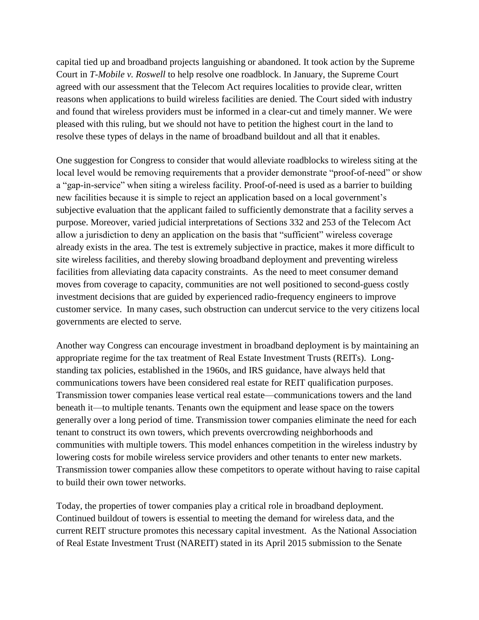capital tied up and broadband projects languishing or abandoned. It took action by the Supreme Court in *T-Mobile v. Roswell* to help resolve one roadblock. In January, the Supreme Court agreed with our assessment that the Telecom Act requires localities to provide clear, written reasons when applications to build wireless facilities are denied. The Court sided with industry and found that wireless providers must be informed in a clear-cut and timely manner. We were pleased with this ruling, but we should not have to petition the highest court in the land to resolve these types of delays in the name of broadband buildout and all that it enables.

One suggestion for Congress to consider that would alleviate roadblocks to wireless siting at the local level would be removing requirements that a provider demonstrate "proof-of-need" or show a "gap-in-service" when siting a wireless facility. Proof-of-need is used as a barrier to building new facilities because it is simple to reject an application based on a local government's subjective evaluation that the applicant failed to sufficiently demonstrate that a facility serves a purpose. Moreover, varied judicial interpretations of Sections 332 and 253 of the Telecom Act allow a jurisdiction to deny an application on the basis that "sufficient" wireless coverage already exists in the area. The test is extremely subjective in practice, makes it more difficult to site wireless facilities, and thereby slowing broadband deployment and preventing wireless facilities from alleviating data capacity constraints. As the need to meet consumer demand moves from coverage to capacity, communities are not well positioned to second-guess costly investment decisions that are guided by experienced radio-frequency engineers to improve customer service. In many cases, such obstruction can undercut service to the very citizens local governments are elected to serve.

Another way Congress can encourage investment in broadband deployment is by maintaining an appropriate regime for the tax treatment of Real Estate Investment Trusts (REITs). Longstanding tax policies, established in the 1960s, and IRS guidance, have always held that communications towers have been considered real estate for REIT qualification purposes. Transmission tower companies lease vertical real estate—communications towers and the land beneath it—to multiple tenants. Tenants own the equipment and lease space on the towers generally over a long period of time. Transmission tower companies eliminate the need for each tenant to construct its own towers, which prevents overcrowding neighborhoods and communities with multiple towers. This model enhances competition in the wireless industry by lowering costs for mobile wireless service providers and other tenants to enter new markets. Transmission tower companies allow these competitors to operate without having to raise capital to build their own tower networks.

Today, the properties of tower companies play a critical role in broadband deployment. Continued buildout of towers is essential to meeting the demand for wireless data, and the current REIT structure promotes this necessary capital investment. As the National Association of Real Estate Investment Trust (NAREIT) stated in its April 2015 submission to the Senate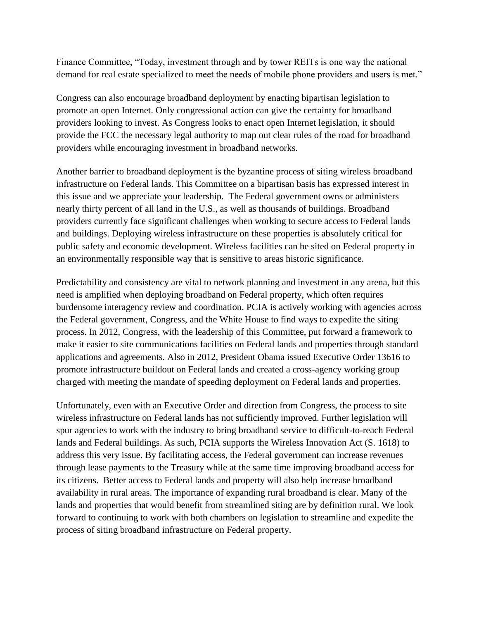Finance Committee, "Today, investment through and by tower REITs is one way the national demand for real estate specialized to meet the needs of mobile phone providers and users is met."

Congress can also encourage broadband deployment by enacting bipartisan legislation to promote an open Internet. Only congressional action can give the certainty for broadband providers looking to invest. As Congress looks to enact open Internet legislation, it should provide the FCC the necessary legal authority to map out clear rules of the road for broadband providers while encouraging investment in broadband networks.

Another barrier to broadband deployment is the byzantine process of siting wireless broadband infrastructure on Federal lands. This Committee on a bipartisan basis has expressed interest in this issue and we appreciate your leadership. The Federal government owns or administers nearly thirty percent of all land in the U.S., as well as thousands of buildings. Broadband providers currently face significant challenges when working to secure access to Federal lands and buildings. Deploying wireless infrastructure on these properties is absolutely critical for public safety and economic development. Wireless facilities can be sited on Federal property in an environmentally responsible way that is sensitive to areas historic significance.

Predictability and consistency are vital to network planning and investment in any arena, but this need is amplified when deploying broadband on Federal property, which often requires burdensome interagency review and coordination. PCIA is actively working with agencies across the Federal government, Congress, and the White House to find ways to expedite the siting process. In 2012, Congress, with the leadership of this Committee, put forward a framework to make it easier to site communications facilities on Federal lands and properties through standard applications and agreements. Also in 2012, President Obama issued Executive Order 13616 to promote infrastructure buildout on Federal lands and created a cross-agency working group charged with meeting the mandate of speeding deployment on Federal lands and properties.

Unfortunately, even with an Executive Order and direction from Congress, the process to site wireless infrastructure on Federal lands has not sufficiently improved. Further legislation will spur agencies to work with the industry to bring broadband service to difficult-to-reach Federal lands and Federal buildings. As such, PCIA supports the Wireless Innovation Act (S. 1618) to address this very issue. By facilitating access, the Federal government can increase revenues through lease payments to the Treasury while at the same time improving broadband access for its citizens. Better access to Federal lands and property will also help increase broadband availability in rural areas. The importance of expanding rural broadband is clear. Many of the lands and properties that would benefit from streamlined siting are by definition rural. We look forward to continuing to work with both chambers on legislation to streamline and expedite the process of siting broadband infrastructure on Federal property.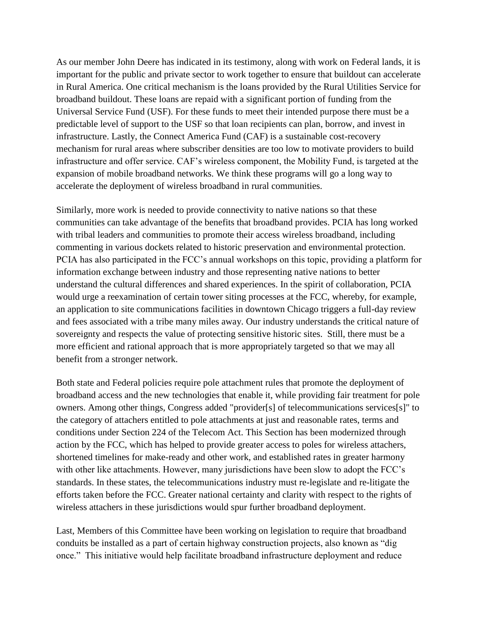As our member John Deere has indicated in its testimony, along with work on Federal lands, it is important for the public and private sector to work together to ensure that buildout can accelerate in Rural America. One critical mechanism is the loans provided by the Rural Utilities Service for broadband buildout. These loans are repaid with a significant portion of funding from the Universal Service Fund (USF). For these funds to meet their intended purpose there must be a predictable level of support to the USF so that loan recipients can plan, borrow, and invest in infrastructure. Lastly, the Connect America Fund (CAF) is a sustainable cost-recovery mechanism for rural areas where subscriber densities are too low to motivate providers to build infrastructure and offer service. CAF's wireless component, the Mobility Fund, is targeted at the expansion of mobile broadband networks. We think these programs will go a long way to accelerate the deployment of wireless broadband in rural communities.

Similarly, more work is needed to provide connectivity to native nations so that these communities can take advantage of the benefits that broadband provides. PCIA has long worked with tribal leaders and communities to promote their access wireless broadband, including commenting in various dockets related to historic preservation and environmental protection. PCIA has also participated in the FCC's annual workshops on this topic, providing a platform for information exchange between industry and those representing native nations to better understand the cultural differences and shared experiences. In the spirit of collaboration, PCIA would urge a reexamination of certain tower siting processes at the FCC, whereby, for example, an application to site communications facilities in downtown Chicago triggers a full-day review and fees associated with a tribe many miles away. Our industry understands the critical nature of sovereignty and respects the value of protecting sensitive historic sites. Still, there must be a more efficient and rational approach that is more appropriately targeted so that we may all benefit from a stronger network.

Both state and Federal policies require pole attachment rules that promote the deployment of broadband access and the new technologies that enable it, while providing fair treatment for pole owners. Among other things, Congress added "provider[s] of telecommunications services[s]" to the category of attachers entitled to pole attachments at just and reasonable rates, terms and conditions under Section 224 of the Telecom Act. This Section has been modernized through action by the FCC, which has helped to provide greater access to poles for wireless attachers, shortened timelines for make-ready and other work, and established rates in greater harmony with other like attachments. However, many jurisdictions have been slow to adopt the FCC's standards. In these states, the telecommunications industry must re-legislate and re-litigate the efforts taken before the FCC. Greater national certainty and clarity with respect to the rights of wireless attachers in these jurisdictions would spur further broadband deployment.

Last, Members of this Committee have been working on legislation to require that broadband conduits be installed as a part of certain highway construction projects, also known as "dig once." This initiative would help facilitate broadband infrastructure deployment and reduce